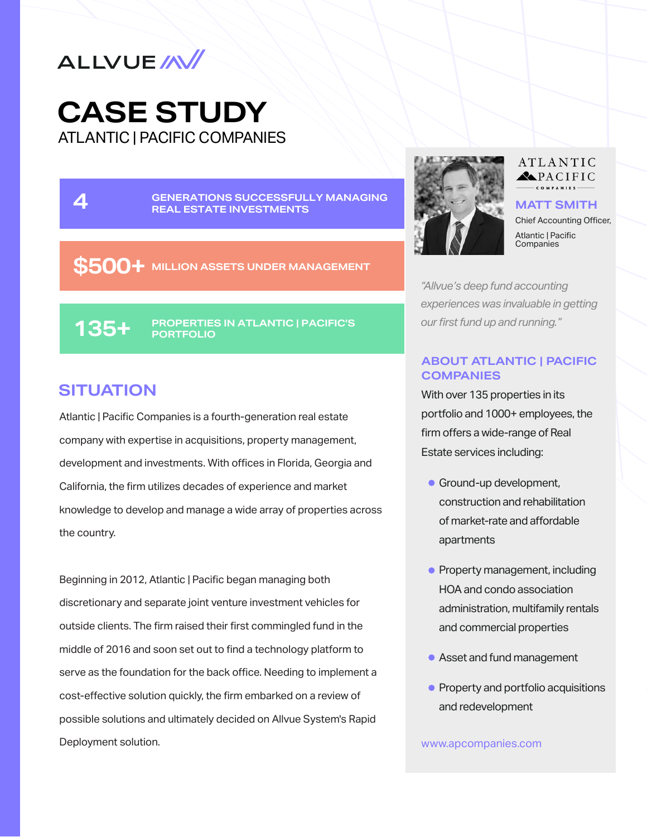

ATLANTIC | PACIFIC COMPANIES **CASE STUDY**

**4** GENERATIONS SUCCESSFUL<br>REAL ESTATE INVESTMENTS **GENERATIONS SUCCESSFULLY MANAGING 4 REAL ESTATE INVESTMENTS MATT SMITH**

**\$500+ MILLION ASSETS UNDER MANAGEMENT**

**PROPERTIES IN ATLANTIC | PACIFIC'S 135+ PORTFOLIO**

### **SITUATION**

Atlantic | Pacific Companies is a fourth-generation real estate company with expertise in acquisitions, property management, development and investments. With offices in Florida, Georgia and California, the firm utilizes decades of experience and market knowledge to develop and manage a wide array of properties across the country.

Beginning in 2012, Atlantic | Pacific began managing both discretionary and separate joint venture investment vehicles for outside clients. The firm raised their first commingled fund in the middle of 2016 and soon set out to find a technology platform to serve as the foundation for the back office. Needing to implement a cost-effective solution quickly, the firm embarked on a review of possible solutions and ultimately decided on Allvue System's Rapid Deployment solution.



#### ATLANTIC RACIFIC

Chief Accounting Officer, Atlantic | Pacific Companies

*"Allvue's deep fund accounting experiences was invaluable in getting our first fund up and running."*

#### **ABOUT ATLANTIC | PACIFIC COMPANIES**

With over 135 properties in its portfolio and 1000+ employees, the firm offers a wide-range of Real Estate services including:

- **Ground-up development,** construction and rehabilitation of market-rate and affordable apartments
- Property management, including HOA and condo association administration, multifamily rentals and commercial properties
- Asset and fund management
- Property and portfolio acquisitions and redevelopment

www.apcompanies.com